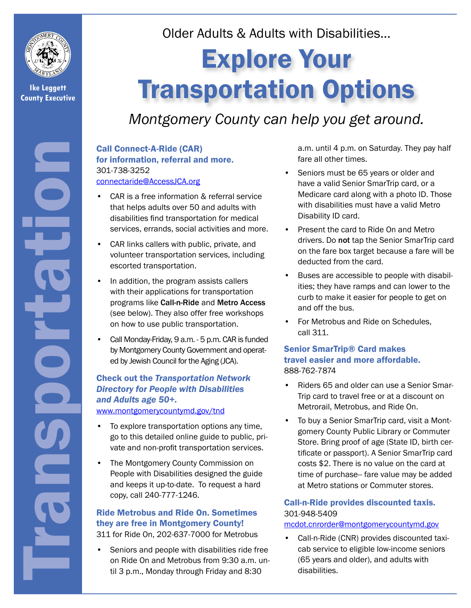

**Ike Leggett County Executive**

Transportation

Older Adults & Adults with Disabilities…

# Explore Your Transportation Options

# *Montgomery County can help you get around.*

# Call Connect-A-Ride (CAR) for information, referral and more. 301-738-3252

#### [connectaride@AccessJCA.org](mailto:connectaride%40AccessJCA.org?subject=)

- CAR is a free information & referral service that helps adults over 50 and adults with disabilities find transportation for medical services, errands, social activities and more.
- CAR links callers with public, private, and volunteer transportation services, including escorted transportation.
- In addition, the program assists callers with their applications for transportation programs like Call-n-Ride and Metro Access (see below). They also offer free workshops on how to use public transportation.
- Call Monday-Friday, 9 a.m. 5 p.m. CAR is funded by Montgomery County Government and operated by Jewish Council for the Aging (JCA).

# Check out the *Transportation Network Directory for People with Disabilities and Adults age 50+.*

www.montgomerycountymd.gov/tnd

- To explore transportation options any time, go to this detailed online guide to public, private and non-profit transportation services.
- The Montgomery County Commission on People with Disabilities designed the guide and keeps it up-to-date. To request a hard copy, call 240-777-1246.

#### Ride Metrobus and Ride On. Sometimes they are free in Montgomery County! 311 for Ride On, 202-637-7000 for Metrobus

Seniors and people with disabilities ride free on Ride On and Metrobus from 9:30 a.m. until 3 p.m., Monday through Friday and 8:30

a.m. until 4 p.m. on Saturday. They pay half fare all other times.

- Seniors must be 65 years or older and have a valid Senior SmarTrip card, or a Medicare card along with a photo ID. Those with disabilities must have a valid Metro Disability ID card.
- Present the card to Ride On and Metro drivers. Do not tap the Senior SmarTrip card on the fare box target because a fare will be deducted from the card.
- Buses are accessible to people with disabilities; they have ramps and can lower to the curb to make it easier for people to get on and off the bus.
- For Metrobus and Ride on Schedules, call 311.

### Senior SmarTrip® Card makes travel easier and more affordable. 888-762-7874

- Riders 65 and older can use a Senior Smar-Trip card to travel free or at a discount on Metrorail, Metrobus, and Ride On.
- To buy a Senior SmarTrip card, visit a Montgomery County Public Library or Commuter Store. Bring proof of age (State ID, birth certificate or passport). A Senior SmarTrip card costs \$2. There is no value on the card at time of purchase-- fare value may be added at Metro stations or Commuter stores.

# Call-n-Ride provides discounted taxis. 301-948-5409

#### [mcdot.cnrorder@montgomerycountymd.gov](mailto:mcdot.cnrorder%40montgomerycountymd.gov?subject=)

• Call-n-Ride (CNR) provides discounted taxicab service to eligible low-income seniors (65 years and older), and adults with disabilities.